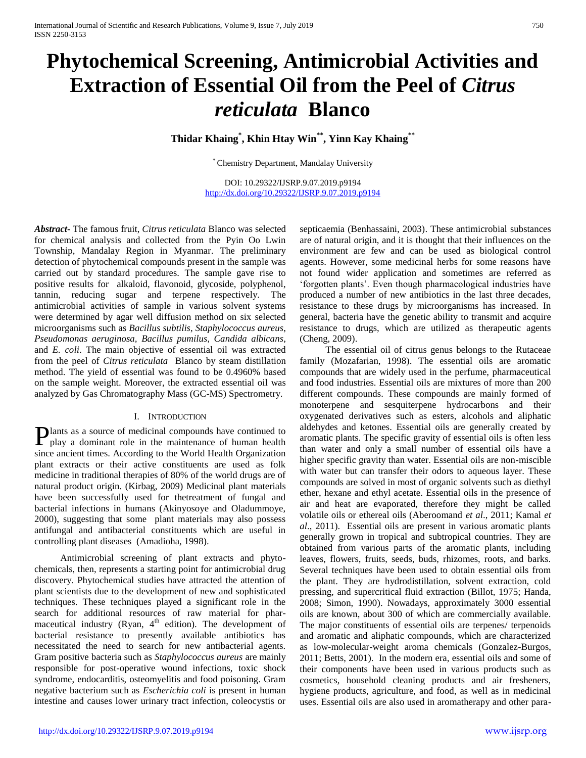# **Phytochemical Screening, Antimicrobial Activities and Extraction of Essential Oil from the Peel of** *Citrus reticulata* **Blanco**

**Thidar Khaing\* , Khin Htay Win\*\* , Yinn Kay Khaing\*\***

\* Chemistry Department, Mandalay University

DOI: 10.29322/IJSRP.9.07.2019.p9194 <http://dx.doi.org/10.29322/IJSRP.9.07.2019.p9194>

*Abstract***-** The famous fruit, *Citrus reticulata* Blanco was selected for chemical analysis and collected from the Pyin Oo Lwin Township, Mandalay Region in Myanmar. The preliminary detection of phytochemical compounds present in the sample was carried out by standard procedures. The sample gave rise to positive results for alkaloid, flavonoid, glycoside, polyphenol, tannin, reducing sugar and terpene respectively. The antimicrobial activities of sample in various solvent systems were determined by agar well diffusion method on six selected microorganisms such as *Bacillus subtilis*, *Staphylococcus aureus*, *Pseudomonas aeruginosa, Bacillus pumilus*, *Candida albicans*, and *E. coli*. The main objective of essential oil was extracted from the peel of *Citrus reticulata* Blanco by steam distillation method. The yield of essential was found to be 0.4960% based on the sample weight. Moreover, the extracted essential oil was analyzed by Gas Chromatography Mass (GC-MS) Spectrometry.

#### I. INTRODUCTION

lants as a source of medicinal compounds have continued to Plants as a source of medicinal compounds have continued to play a dominant role in the maintenance of human health since ancient times. According to the World Health Organization plant extracts or their active constituents are used as folk medicine in traditional therapies of 80% of the world drugs are of natural product origin. (Kirbag, 2009) Medicinal plant materials have been successfully used for thetreatment of fungal and bacterial infections in humans (Akinyosoye and Oladummoye, 2000), suggesting that some plant materials may also possess antifungal and antibacterial constituents which are useful in controlling plant diseases (Amadioha, 1998).

Antimicrobial screening of plant extracts and phytochemicals, then, represents a starting point for antimicrobial drug discovery. Phytochemical studies have attracted the attention of plant scientists due to the development of new and sophisticated techniques. These techniques played a significant role in the search for additional resources of raw material for pharmaceutical industry (Ryan,  $4<sup>th</sup>$  edition). The development of bacterial resistance to presently available antibiotics has necessitated the need to search for new antibacterial agents. Gram positive bacteria such as *Staphylococcus aureus* are mainly responsible for post-operative wound infections, toxic shock syndrome, endocarditis, osteomyelitis and food poisoning. Gram negative bacterium such as *Escherichia coli* is present in human intestine and causes lower urinary tract infection, coleocystis or

septicaemia (Benhassaini, 2003). These antimicrobial substances are of natural origin, and it is thought that their influences on the environment are few and can be used as biological control agents. However, some medicinal herbs for some reasons have not found wider application and sometimes are referred as 'forgotten plants'. Even though pharmacological industries have produced a number of new antibiotics in the last three decades, resistance to these drugs by microorganisms has increased. In general, bacteria have the genetic ability to transmit and acquire resistance to drugs, which are utilized as therapeutic agents (Cheng, 2009).

The essential oil of citrus genus belongs to the Rutaceae family (Mozafarian, 1998). The essential oils are aromatic compounds that are widely used in the perfume, pharmaceutical and food industries. Essential oils are mixtures of more than 200 different compounds. These compounds are mainly formed of monoterpene and sesquiterpene hydrocarbons and their oxygenated derivatives such as esters, alcohols and aliphatic aldehydes and ketones. Essential oils are generally created by aromatic plants. The specific gravity of essential oils is often less than water and only a small number of essential oils have a higher specific gravity than water. Essential oils are non-miscible with water but can transfer their odors to aqueous layer. These compounds are solved in most of organic solvents such as diethyl ether, hexane and ethyl acetate. Essential oils in the presence of air and heat are evaporated, therefore they might be called volatile oils or ethereal oils (Aberoomand *et al*., 2011; Kamal *et al*., 2011). Essential oils are present in various aromatic plants generally grown in tropical and subtropical countries. They are obtained from various parts of the aromatic plants, including leaves, flowers, fruits, seeds, buds, rhizomes, roots, and barks. Several techniques have been used to obtain essential oils from the plant. They are hydrodistillation, solvent extraction, cold pressing, and supercritical fluid extraction (Billot, 1975; Handa, 2008; Simon, 1990). Nowadays, approximately 3000 essential oils are known, about 300 of which are commercially available. The major constituents of essential oils are terpenes/ terpenoids and aromatic and aliphatic compounds, which are characterized as low-molecular-weight aroma chemicals (Gonzalez-Burgos, 2011; Betts, 2001). In the modern era, essential oils and some of their components have been used in various products such as cosmetics, household cleaning products and air fresheners, hygiene products, agriculture, and food, as well as in medicinal uses. Essential oils are also used in aromatherapy and other para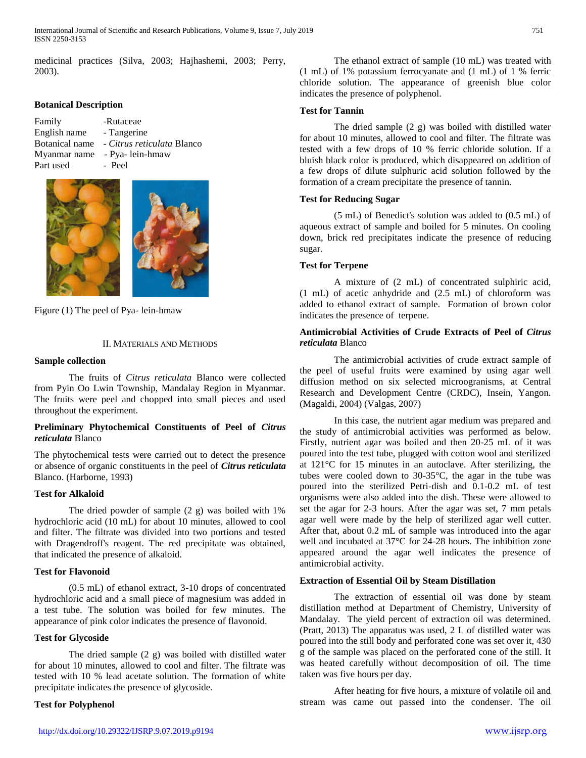medicinal practices (Silva, 2003; Hajhashemi, 2003; Perry, 2003).

## **Botanical Description**

| Family       | -Rutaceae                                 |
|--------------|-------------------------------------------|
| English name | - Tangerine                               |
|              | Botanical name - Citrus reticulata Blanco |
| Myanmar name | - Pya-lein-hmaw                           |
| Part used    | - Peel                                    |



Figure (1) The peel of Pya- lein-hmaw

## II. MATERIALS AND METHODS

#### **Sample collection**

The fruits of *Citrus reticulata* Blanco were collected from Pyin Oo Lwin Township, Mandalay Region in Myanmar. The fruits were peel and chopped into small pieces and used throughout the experiment.

#### **Preliminary Phytochemical Constituents of Peel of** *Citrus reticulata* Blanco

The phytochemical tests were carried out to detect the presence or absence of organic constituents in the peel of *Citrus reticulata* Blanco. (Harborne, 1993)

# **Test for Alkaloid**

The dried powder of sample  $(2 g)$  was boiled with 1% hydrochloric acid (10 mL) for about 10 minutes, allowed to cool and filter. The filtrate was divided into two portions and tested with Dragendroff's reagent. The red precipitate was obtained, that indicated the presence of alkaloid.

#### **Test for Flavonoid**

(0.5 mL) of ethanol extract, 3-10 drops of concentrated hydrochloric acid and a small piece of magnesium was added in a test tube. The solution was boiled for few minutes. The appearance of pink color indicates the presence of flavonoid.

# **Test for Glycoside**

The dried sample (2 g) was boiled with distilled water for about 10 minutes, allowed to cool and filter. The filtrate was tested with 10 % lead acetate solution. The formation of white precipitate indicates the presence of glycoside.

#### **Test for Polyphenol**

The ethanol extract of sample (10 mL) was treated with (1 mL) of 1% potassium ferrocyanate and (1 mL) of 1 % ferric chloride solution. The appearance of greenish blue color indicates the presence of polyphenol.

#### **Test for Tannin**

The dried sample (2 g) was boiled with distilled water for about 10 minutes, allowed to cool and filter. The filtrate was tested with a few drops of 10 % ferric chloride solution. If a bluish black color is produced, which disappeared on addition of a few drops of dilute sulphuric acid solution followed by the formation of a cream precipitate the presence of tannin.

# **Test for Reducing Sugar**

(5 mL) of Benedict's solution was added to (0.5 mL) of aqueous extract of sample and boiled for 5 minutes. On cooling down, brick red precipitates indicate the presence of reducing sugar.

#### **Test for Terpene**

A mixture of (2 mL) of concentrated sulphiric acid, (1 mL) of acetic anhydride and (2.5 mL) of chloroform was added to ethanol extract of sample. Formation of brown color indicates the presence of terpene.

## **Antimicrobial Activities of Crude Extracts of Peel of** *Citrus reticulata* Blanco

The antimicrobial activities of crude extract sample of the peel of useful fruits were examined by using agar well diffusion method on six selected microogranisms, at Central Research and Development Centre (CRDC), Insein, Yangon. (Magaldi, 2004) (Valgas, 2007)

In this case, the nutrient agar medium was prepared and the study of antimicrobial activities was performed as below. Firstly, nutrient agar was boiled and then 20-25 mL of it was poured into the test tube, plugged with cotton wool and sterilized at 121°C for 15 minutes in an autoclave. After sterilizing, the tubes were cooled down to 30-35°C, the agar in the tube was poured into the sterilized Petri-dish and 0.1-0.2 mL of test organisms were also added into the dish. These were allowed to set the agar for 2-3 hours. After the agar was set, 7 mm petals agar well were made by the help of sterilized agar well cutter. After that, about 0.2 mL of sample was introduced into the agar well and incubated at 37°C for 24-28 hours. The inhibition zone appeared around the agar well indicates the presence of antimicrobial activity.

#### **Extraction of Essential Oil by Steam Distillation**

The extraction of essential oil was done by steam distillation method at Department of Chemistry, University of Mandalay. The yield percent of extraction oil was determined. (Pratt, 2013) The apparatus was used, 2 L of distilled water was poured into the still body and perforated cone was set over it, 430 g of the sample was placed on the perforated cone of the still. It was heated carefully without decomposition of oil. The time taken was five hours per day.

After heating for five hours, a mixture of volatile oil and stream was came out passed into the condenser. The oil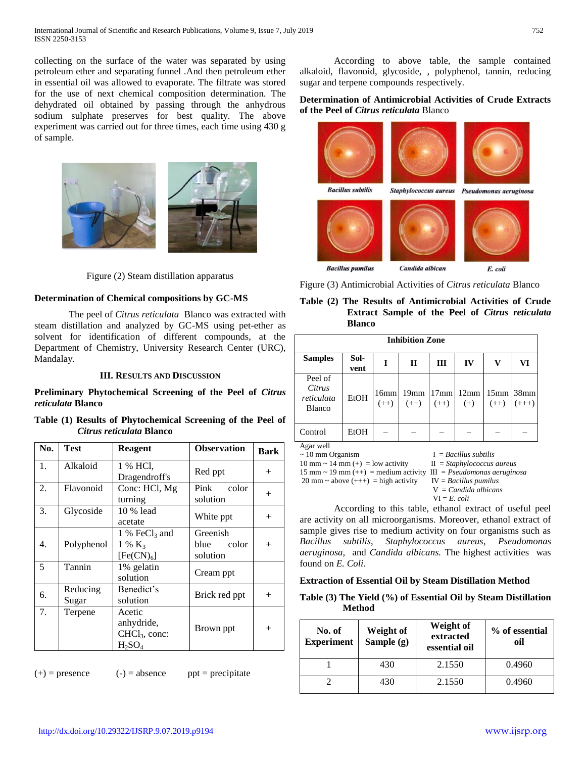collecting on the surface of the water was separated by using petroleum ether and separating funnel .And then petroleum ether in essential oil was allowed to evaporate. The filtrate was stored for the use of next chemical composition determination. The dehydrated oil obtained by passing through the anhydrous sodium sulphate preserves for best quality. The above experiment was carried out for three times, each time using 430 g of sample.



Figure (2) Steam distillation apparatus

# **Determination of Chemical compositions by GC-MS**

The peel of *Citrus reticulata* Blanco was extracted with steam distillation and analyzed by GC-MS using pet-ether as solvent for identification of different compounds, at the Department of Chemistry, University Research Center (URC), Mandalay.

#### **III. RESULTS AND DISCUSSION**

**Preliminary Phytochemical Screening of the Peel of** *Citrus reticulata* **Blanco**

|  | Table (1) Results of Phytochemical Screening of the Peel of |  |  |  |
|--|-------------------------------------------------------------|--|--|--|
|  | Citrus reticulata Blanco                                    |  |  |  |

| No. | Test              | <b>Reagent</b>                                                              | <b>Observation</b>                    | <b>Bark</b> |
|-----|-------------------|-----------------------------------------------------------------------------|---------------------------------------|-------------|
| 1.  | Alkaloid          | 1 % HCl.<br>Dragendroff's                                                   | Red ppt                               | $^{+}$      |
| 2.  | Flavonoid         | Conc: HCl, Mg<br>turning                                                    | Pink color<br>solution                | $^+$        |
| 3.  | Glycoside         | 10 % lead<br>acetate                                                        | White ppt                             | $^{+}$      |
| 4.  | Polyphenol        | 1 % FeCl <sub>3</sub> and<br>$1\%$ K <sub>3</sub><br>[Fe(CN) <sub>6</sub> ] | Greenish<br>color<br>blue<br>solution | $^{+}$      |
| 5   | Tannin            | 1% gelatin<br>solution                                                      | Cream ppt                             |             |
| 6.  | Reducing<br>Sugar | Benedict's<br>solution                                                      | Brick red ppt                         | $^{+}$      |
| 7.  | Terpene           | Acetic<br>anhydride,<br>$CHCl3$ , conc:<br>$H_2SO_4$                        | Brown ppt                             | $^+$        |

 $(+)$  = presence  $(-)$  = absence ppt = precipitate

According to above table, the sample contained alkaloid, flavonoid, glycoside, , polyphenol, tannin, reducing sugar and terpene compounds respectively.

# **Determination of Antimicrobial Activities of Crude Extracts of the Peel of** *Citrus reticulata* Blanco

| <b>Bacillus subtilis</b> | Staphylococcus aureus | Pseudomonas aeruginosa |
|--------------------------|-----------------------|------------------------|
|                          |                       |                        |
| <b>Bacillus pumilus</b>  | Candida albican       | E. coli                |

Figure (3) Antimicrobial Activities of *Citrus reticulata* Blanco

| Table (2) The Results of Antimicrobial Activities of Crude |  |
|------------------------------------------------------------|--|
| <b>Extract Sample of the Peel of Citrus reticulata</b>     |  |
| <b>Blanco</b>                                              |  |

|                                                               |              |                | <b>Inhibition Zone</b> |                |                         |                            |                             |
|---------------------------------------------------------------|--------------|----------------|------------------------|----------------|-------------------------|----------------------------|-----------------------------|
| <b>Samples</b>                                                | Sol-<br>vent | I              | $\mathbf{I}$           | Ш              | IV                      | v                          | VI                          |
| Peel of<br>Citrus<br>reticulata<br><b>Blanco</b>              | <b>EtOH</b>  | 16mm<br>$(++)$ | 19mm<br>$(++)$         | 17mm<br>$(++)$ | 12mm<br>$(+)$           | 15 <sub>mm</sub><br>$(++)$ | 38 <sub>mm</sub><br>$(+++)$ |
| Control                                                       | EtOH         |                |                        |                |                         |                            |                             |
| Agar well<br>$\sim$ 10 mm Organism<br>$10 \dots 14 \dots (1)$ |              |                |                        |                | $I = Bacillus subtilis$ |                            |                             |

10 mm ~ 14 mm (+) = low activity II = *Staphylococcus aureus* 15 mm  $\sim$  19 mm  $(++)$  = medium activity III = *Pseudomonas aeruginosa* 20 mm  $\sim$  above  $(++)$  = high activity IV = *Bacillus pumilus* 

V = *Candida albicans* VI = *E. coli*

According to this table, ethanol extract of useful peel are activity on all microorganisms. Moreover, ethanol extract of sample gives rise to medium activity on four organisms such as *Bacillus subtilis*, *Staphylococcus aureus*, *Pseudomonas aeruginosa,* and *Candida albicans.* The highest activities was found on *E. Coli.*

#### **Extraction of Essential Oil by Steam Distillation Method**

#### **Table (3) The Yield (%) of Essential Oil by Steam Distillation Method**

| No. of<br><b>Experiment</b> | Weight of<br>Sample (g) | Weight of<br>extracted<br>essential oil | % of essential<br>oil |
|-----------------------------|-------------------------|-----------------------------------------|-----------------------|
|                             | 430                     | 2.1550                                  | 0.4960                |
|                             | 430                     | 2.1550                                  | 0.4960                |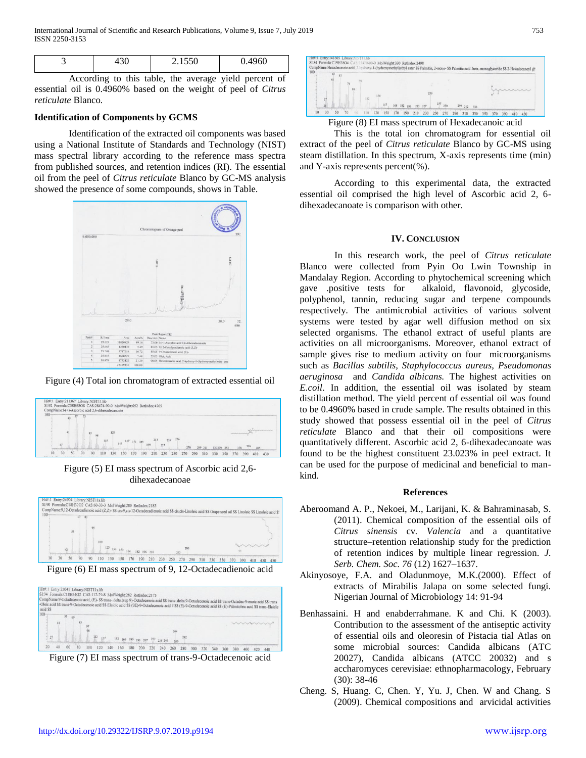| <b>.</b> ب<br>vv<br>ັ |  | n c | $- - -$ | $\sim$ $\sim$ $\sim$ |
|-----------------------|--|-----|---------|----------------------|
|-----------------------|--|-----|---------|----------------------|

According to this table, the average yield percent of essential oil is 0.4960% based on the weight of peel of *Citrus reticulate* Blanco*.* 

#### **Identification of Components by GCMS**

Identification of the extracted oil components was based using a National Institute of Standards and Technology (NIST) mass spectral library according to the reference mass spectra from published sources, and retention indices (RI). The essential oil from the peel of *Citrus reticulate* Blanco by GC-MS analysis showed the presence of some compounds, shows in Table.



Figure (4) Total ion chromatogram of extracted essential oil



Figure (5) EI mass spectrum of Ascorbic acid 2,6 dihexadecanoae



Figure (6) EI mass spectrum of 9, 12-Octadecadienoic acid

|         |    |                         |    | CompName:9-Octadecenoic acid, (E)- SS trans-delta.(sup 9)-Octadecenoic acid SS trans-delta.9-Octadecenoic acid SS trans-Octadec-9-enoic acid SS trans      |  | SI:94 Formula:C18H34O2 CAS:112-79-8 MolWeight:282 RetIndex:2175 |  |     |  |  |  |  |  |
|---------|----|-------------------------|----|------------------------------------------------------------------------------------------------------------------------------------------------------------|--|-----------------------------------------------------------------|--|-----|--|--|--|--|--|
| acid SS |    |                         |    | -Oleic acid SS trans-9-Octadecenoic acid SS Elaidic acid SS (9E)-9-Octadecenoic acid # SS (E)-9-Octadecenoic acid SS (E)-Palmitoleic acid SS trans-Elaidic |  |                                                                 |  |     |  |  |  |  |  |
|         | Ķ٩ | 69                      |    |                                                                                                                                                            |  |                                                                 |  |     |  |  |  |  |  |
|         |    | $\overline{\mathbf{x}}$ | 97 |                                                                                                                                                            |  |                                                                 |  |     |  |  |  |  |  |
|         |    |                         |    |                                                                                                                                                            |  |                                                                 |  | 264 |  |  |  |  |  |
|         |    |                         |    |                                                                                                                                                            |  |                                                                 |  |     |  |  |  |  |  |

Figure (7) EI mass spectrum of trans-9-Octadecenoic acid



Figure (8) EI mass spectrum of Hexadecanoic acid

This is the total ion chromatogram for essential oil extract of the peel of *Citrus reticulate* Blanco by GC-MS using steam distillation. In this spectrum, X-axis represents time (min) and Y-axis represents percent(%).

According to this experimental data, the extracted essential oil comprised the high level of Ascorbic acid 2, 6 dihexadecanoate is comparison with other.

#### **IV. CONCLUSION**

In this research work, the peel of *Citrus reticulate* Blanco were collected from Pyin Oo Lwin Township in Mandalay Region. According to phytochemical screening which gave .positive tests for alkaloid, flavonoid, glycoside, polyphenol, tannin, reducing sugar and terpene compounds respectively. The antimicrobial activities of various solvent systems were tested by agar well diffusion method on six selected organisms. The ethanol extract of useful plants are activities on all microorganisms. Moreover, ethanol extract of sample gives rise to medium activity on four microorganisms such as *Bacillus subtilis, Staphylococcus aureus, Pseudomonas aeruginosa* and *Candida albicans.* The highest activities on *E.coil*. In addition, the essential oil was isolated by steam distillation method. The yield percent of essential oil was found to be 0.4960% based in crude sample. The results obtained in this study showed that possess essential oil in the peel of *Citrus reticulate* Blanco and that their oil compositions were quantitatively different. Ascorbic acid 2, 6-dihexadecanoate was found to be the highest constituent 23.023% in peel extract. It can be used for the purpose of medicinal and beneficial to mankind.

#### **References**

- Aberoomand A. P., Nekoei, M., Larijani, K. & Bahraminasab, S. (2011). Chemical composition of the essential oils of *Citrus sinensis* cv*. Valencia* and a quantitative structure–retention relationship study for the prediction of retention indices by multiple linear regression. *J. Serb. Chem. Soc. 76* (12) 1627–1637.
- Akinyosoye, F.A. and Oladunmoye, M.K.(2000). Effect of extracts of Mirabilis Jalapa on some selected fungi. Nigerian Journal of Microbiology 14: 91-94
- Benhassaini. H and enabderrahmane. K and Chi. K (2003). Contribution to the assessment of the antiseptic activity of essential oils and oleoresin of Pistacia tial Atlas on some microbial sources: Candida albicans (ATC 20027), Candida albicans (ATCC 20032) and s accharomyces cerevisiae: ethnopharmacology, February (30): 38-46
- Cheng. S, Huang. C, Chen. Y, Yu. J, Chen. W and Chang. S (2009). Chemical compositions and arvicidal activities